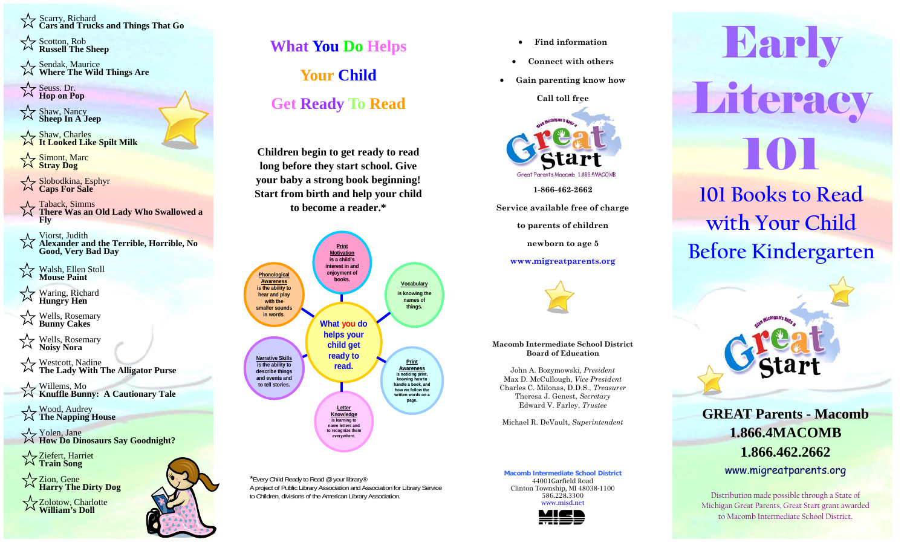Scarry, Richard **Cars and Trucks and Things That Go** 

 $\leq$   $\geq$  Scotton, Rob **Russell The Sheep** 

Sendak, Maurice **Where The Wild Things Are** 

Seuss. Dr.<br>**Hop on Pop** 

Shaw, Nancy **Sheep In A Jeep** 

Shaw, Charles  $\breve{\chi}$ **It Looked Like Spilt Milk** 

☆ Simont, Marc **Stray Dog** 

Slobodkina, Esphyr **Caps For Sale** 

- $\overrightarrow{\phantom{a}}$  Taback, Simms
- **There Was an Old Lady Who Swallowed a Fly**

Viorst, Judith

 **Alexander and the Terrible, Horrible, No Good, Very Bad Day** 

 Walsh, Ellen Stoll  **Mouse Paint** 

Waring, Richard **Hungry Hen** 

Wells, Rosemary **Bunny Cakes** 

Wells, Rosemary **Noisy Nora** 

Westcott, Nadine **The Lady With The Alligator Purse** 

Willems, Mo

**Knuffle Bunny: A Cautionary Tale** 

Wood, Audrey **The Napping House** 

Yolen, Jane **How Do Dinosaurs Say Goodnight?** 

Ziefert, Harriet **Train Song** 

Zion, Gene **Harry The Dirty Dog** 

Zolotow, Charlotte **William's Doll** 



## **What You Do Helps Your Child Get Ready To Read**

**Children begin to get ready to read long before they start school. Give your baby a strong book beginning! Start from birth and help your child to become a reader.\***



\*Every Child Ready to Read @ your library® A project of Public Library Association and Association for Library Service to Children, divisions of the American Library Association.

 $\bullet$ **Find information** 

- $\bullet$ **Connect with others**
- $\bullet$ **Gain parenting know how**

**Call toll free** 



**1-866-462-2662** 

**Service available free of charge** 

**to parents of children** 

**newborn to age 5** 

## **www.migreatparents.org**



**Macomb Intermediate School District Board of Education** 

John A. Bozymowski, *President* Max D. McCullough, *Vice President* Charles C. Milonas, D.D.S., *Treasurer* Theresa J. Genest, *Secretary* Edward V. Farley, *Trustee* 

Michael R. DeVault, *Superintendent* 

**Macomb Intermediate School District** 44001Garfield Road Clinton Township, MI 48038-1100 586.228.3300 www.misd.net



**Barly** Literacy 101 **101 Books to read 101 Books to Read with your child with Your Child** 

**before kindergarten Before Kindergarten** 



**GREAT Parents - Macomb 1.866.4MACOMB 1.866.462.2662** www.migreatparents.org

Distribution made possible through a State of Michigan Great Parents, Great Start grant awarded to Macomb Intermediate School District.